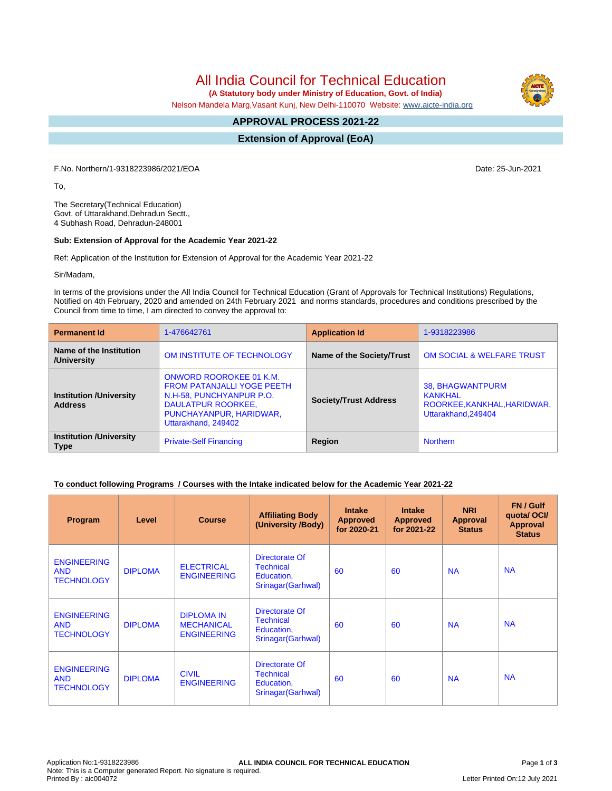# All India Council for Technical Education

 **(A Statutory body under Ministry of Education, Govt. of India)**

Nelson Mandela Marg,Vasant Kunj, New Delhi-110070 Website: [www.aicte-india.org](http://www.aicte-india.org)

#### **APPROVAL PROCESS 2021-22 -**

**Extension of Approval (EoA)**

F.No. Northern/1-9318223986/2021/EOA Date: 25-Jun-2021

To,

The Secretary(Technical Education) Govt. of Uttarakhand,Dehradun Sectt., 4 Subhash Road, Dehradun-248001

#### **Sub: Extension of Approval for the Academic Year 2021-22**

Ref: Application of the Institution for Extension of Approval for the Academic Year 2021-22

Sir/Madam,

In terms of the provisions under the All India Council for Technical Education (Grant of Approvals for Technical Institutions) Regulations, Notified on 4th February, 2020 and amended on 24th February 2021 and norms standards, procedures and conditions prescribed by the Council from time to time, I am directed to convey the approval to:

| <b>Permanent Id</b>                              | 1-476642761                                                                                                                                                             | <b>Application Id</b>        | 1-9318223986                                                                      |  |
|--------------------------------------------------|-------------------------------------------------------------------------------------------------------------------------------------------------------------------------|------------------------------|-----------------------------------------------------------------------------------|--|
| Name of the Institution<br>/University           | OM INSTITUTE OF TECHNOLOGY                                                                                                                                              | Name of the Society/Trust    | <b>OM SOCIAL &amp; WELFARE TRUST</b>                                              |  |
| <b>Institution /University</b><br><b>Address</b> | <b>ONWORD ROOROKEE 01 K.M.</b><br><b>FROM PATANJALLI YOGE PEETH</b><br>N.H-58, PUNCHYANPUR P.O.<br>DAULATPUR ROORKEE,<br>PUNCHAYANPUR, HARIDWAR,<br>Uttarakhand, 249402 | <b>Society/Trust Address</b> | 38, BHAGWANTPURM<br>KANKHAL<br>ROORKEE, KANKHAL, HARIDWAR,<br>Uttarakhand, 249404 |  |
| <b>Institution /University</b><br><b>Type</b>    | <b>Private-Self Financing</b>                                                                                                                                           | Region                       | <b>Northern</b>                                                                   |  |

#### **To conduct following Programs / Courses with the Intake indicated below for the Academic Year 2021-22**

| Program                                               | Level          | <b>Course</b>                                                | <b>Affiliating Body</b><br>(University /Body)                          | <b>Intake</b><br><b>Approved</b><br>for 2020-21 | <b>Intake</b><br><b>Approved</b><br>for 2021-22 | <b>NRI</b><br>Approval<br><b>Status</b> | FN / Gulf<br>quotal OCI/<br><b>Approval</b><br><b>Status</b> |
|-------------------------------------------------------|----------------|--------------------------------------------------------------|------------------------------------------------------------------------|-------------------------------------------------|-------------------------------------------------|-----------------------------------------|--------------------------------------------------------------|
| <b>ENGINEERING</b><br><b>AND</b><br><b>TECHNOLOGY</b> | <b>DIPLOMA</b> | <b>ELECTRICAL</b><br><b>ENGINEERING</b>                      | Directorate Of<br><b>Technical</b><br>Education,<br>Srinagar (Garhwal) | 60                                              | 60                                              | <b>NA</b>                               | <b>NA</b>                                                    |
| <b>ENGINEERING</b><br><b>AND</b><br><b>TECHNOLOGY</b> | <b>DIPLOMA</b> | <b>DIPLOMA IN</b><br><b>MECHANICAL</b><br><b>ENGINEERING</b> | Directorate Of<br><b>Technical</b><br>Education,<br>Srinagar (Garhwal) | 60                                              | 60                                              | <b>NA</b>                               | <b>NA</b>                                                    |
| <b>ENGINEERING</b><br><b>AND</b><br><b>TECHNOLOGY</b> | <b>DIPLOMA</b> | <b>CIVIL</b><br><b>ENGINEERING</b>                           | Directorate Of<br><b>Technical</b><br>Education,<br>Srinagar (Garhwal) | 60                                              | 60                                              | <b>NA</b>                               | <b>NA</b>                                                    |

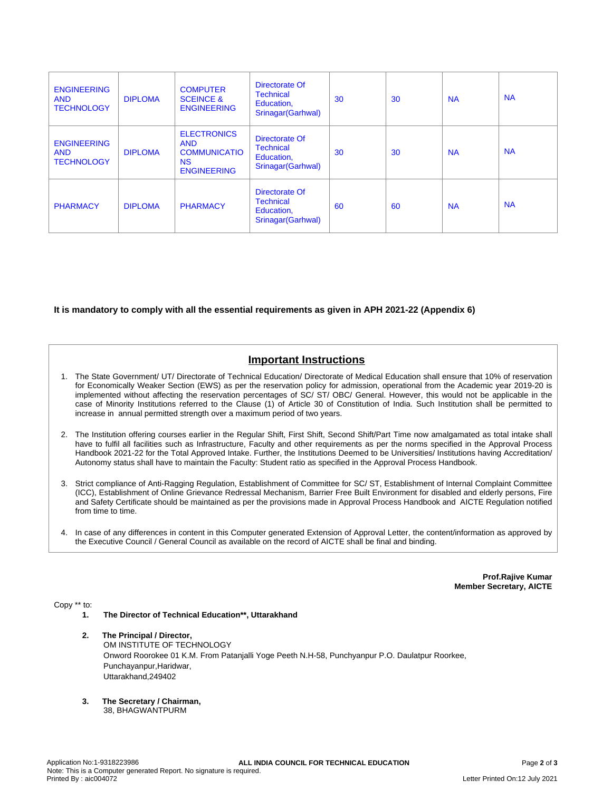| <b>ENGINEERING</b><br><b>AND</b><br><b>TECHNOLOGY</b> | <b>DIPLOMA</b> | <b>COMPUTER</b><br><b>SCEINCE &amp;</b><br><b>ENGINEERING</b>                              | Directorate Of<br><b>Technical</b><br>Education,<br>Srinagar(Garhwal)  | 30 | 30 | <b>NA</b> | <b>NA</b> |
|-------------------------------------------------------|----------------|--------------------------------------------------------------------------------------------|------------------------------------------------------------------------|----|----|-----------|-----------|
| <b>ENGINEERING</b><br><b>AND</b><br><b>TECHNOLOGY</b> | <b>DIPLOMA</b> | <b>ELECTRONICS</b><br><b>AND</b><br><b>COMMUNICATIO</b><br><b>NS</b><br><b>ENGINEERING</b> | Directorate Of<br><b>Technical</b><br>Education,<br>Srinagar (Garhwal) | 30 | 30 | <b>NA</b> | <b>NA</b> |
| <b>PHARMACY</b>                                       | <b>DIPLOMA</b> | <b>PHARMACY</b>                                                                            | Directorate Of<br><b>Technical</b><br>Education,<br>Srinagar(Garhwal)  | 60 | 60 | <b>NA</b> | <b>NA</b> |

### **It is mandatory to comply with all the essential requirements as given in APH 2021-22 (Appendix 6)**

## **Important Instructions**

- 1. The State Government/ UT/ Directorate of Technical Education/ Directorate of Medical Education shall ensure that 10% of reservation for Economically Weaker Section (EWS) as per the reservation policy for admission, operational from the Academic year 2019-20 is implemented without affecting the reservation percentages of SC/ ST/ OBC/ General. However, this would not be applicable in the case of Minority Institutions referred to the Clause (1) of Article 30 of Constitution of India. Such Institution shall be permitted to increase in annual permitted strength over a maximum period of two years.
- 2. The Institution offering courses earlier in the Regular Shift, First Shift, Second Shift/Part Time now amalgamated as total intake shall have to fulfil all facilities such as Infrastructure, Faculty and other requirements as per the norms specified in the Approval Process Handbook 2021-22 for the Total Approved Intake. Further, the Institutions Deemed to be Universities/ Institutions having Accreditation/ Autonomy status shall have to maintain the Faculty: Student ratio as specified in the Approval Process Handbook.
- 3. Strict compliance of Anti-Ragging Regulation, Establishment of Committee for SC/ ST, Establishment of Internal Complaint Committee (ICC), Establishment of Online Grievance Redressal Mechanism, Barrier Free Built Environment for disabled and elderly persons, Fire and Safety Certificate should be maintained as per the provisions made in Approval Process Handbook and AICTE Regulation notified from time to time.
- 4. In case of any differences in content in this Computer generated Extension of Approval Letter, the content/information as approved by the Executive Council / General Council as available on the record of AICTE shall be final and binding.

**Prof.Rajive Kumar Member Secretary, AICTE**

Copy \*\* to:

- **1. The Director of Technical Education\*\*, Uttarakhand**
- **2. The Principal / Director,** OM INSTITUTE OF TECHNOLOGY Onword Roorokee 01 K.M. From Patanjalli Yoge Peeth N.H-58, Punchyanpur P.O. Daulatpur Roorkee, Punchayanpur,Haridwar, Uttarakhand,249402
- **3. The Secretary / Chairman,** 38, BHAGWANTPURM